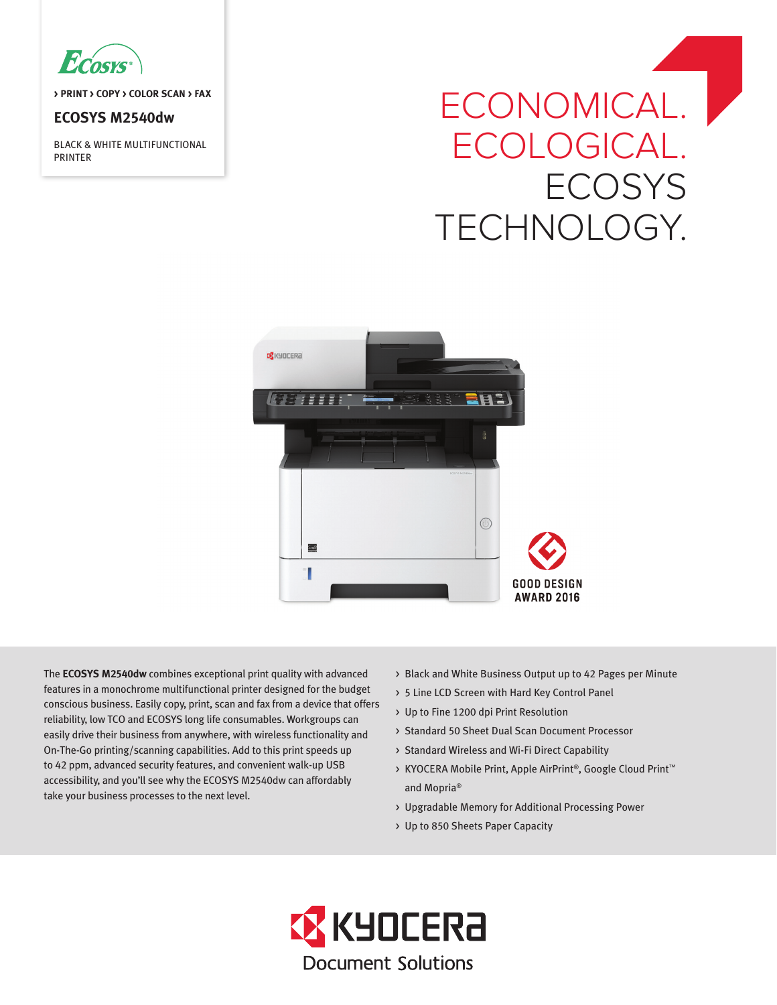

**> PRINT > COPY > COLOR SCAN > FAX**

# **ECOSYS M2540dw**

BLACK & WHITE MULTIFUNCTIONAL PRINTER

# ECONOMICAL. | ECOLOGICAL. **ECOSYS** TECHNOLOGY.



The **ECOSYS M2540dw** combines exceptional print quality with advanced features in a monochrome multifunctional printer designed for the budget conscious business. Easily copy, print, scan and fax from a device that offers reliability, low TCO and ECOSYS long life consumables. Workgroups can easily drive their business from anywhere, with wireless functionality and On-The-Go printing/scanning capabilities. Add to this print speeds up to 42 ppm, advanced security features, and convenient walk-up USB accessibility, and you'll see why the ECOSYS M2540dw can affordably take your business processes to the next level.

- > Black and White Business Output up to 42 Pages per Minute
- > 5 Line LCD Screen with Hard Key Control Panel
- > Up to Fine 1200 dpi Print Resolution
- > Standard 50 Sheet Dual Scan Document Processor
- > Standard Wireless and Wi-Fi Direct Capability
- > KYOCERA Mobile Print, Apple AirPrint®, Google Cloud Print™ and Mopria®
- > Upgradable Memory for Additional Processing Power
- > Up to 850 Sheets Paper Capacity